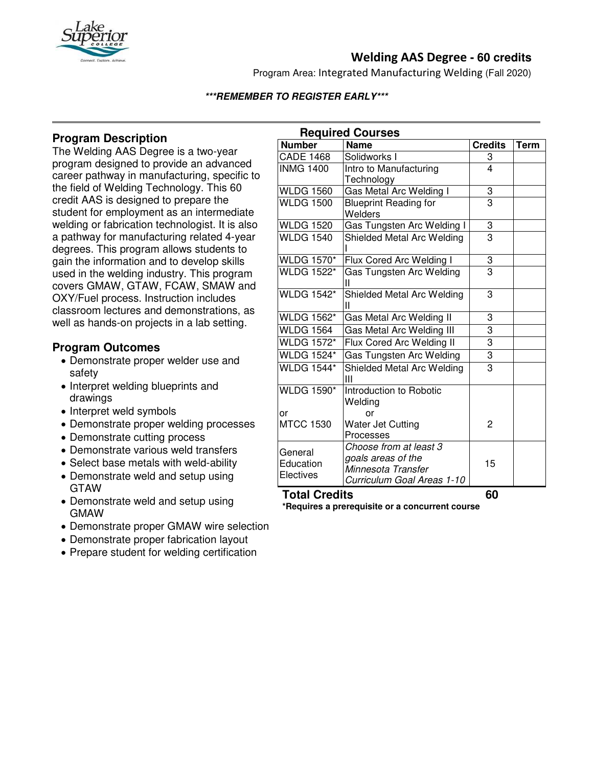

# **Welding AAS Degree - 60 credits**

Program Area: Integrated Manufacturing Welding (Fall 2020)

## **\*\*\*REMEMBER TO REGISTER EARLY\*\*\***

## **Program Description**

The Welding AAS Degree is a two-year program designed to provide an advanced career pathway in manufacturing, specific to the field of Welding Technology. This 60 credit AAS is designed to prepare the student for employment as an intermediate welding or fabrication technologist. It is also a pathway for manufacturing related 4-year degrees. This program allows students to gain the information and to develop skills used in the welding industry. This program covers GMAW, GTAW, FCAW, SMAW and OXY/Fuel process. Instruction includes classroom lectures and demonstrations, as well as hands-on projects in a lab setting.

## **Program Outcomes**

- Demonstrate proper welder use and safety
- Interpret welding blueprints and drawings
- Interpret weld symbols
- Demonstrate proper welding processes
- Demonstrate cutting process
- Demonstrate various weld transfers
- Select base metals with weld-ability
- Demonstrate weld and setup using GTAW
- Demonstrate weld and setup using GMAW
- Demonstrate proper GMAW wire selection
- Demonstrate proper fabrication layout
- Prepare student for welding certification

| <b>Required Courses</b>           |                                    |                |             |
|-----------------------------------|------------------------------------|----------------|-------------|
| <b>Number</b>                     | <b>Name</b>                        | <b>Credits</b> | <b>Term</b> |
| <b>CADE 1468</b>                  | Solidworks I                       | 3              |             |
| <b>INMG 1400</b>                  | Intro to Manufacturing             | 4              |             |
|                                   | Technology                         |                |             |
| <b>WLDG 1560</b>                  | Gas Metal Arc Welding I            | 3              |             |
| <b>WLDG 1500</b>                  | <b>Blueprint Reading for</b>       | $\overline{3}$ |             |
|                                   | Welders                            |                |             |
| <b>WLDG 1520</b>                  | Gas Tungsten Arc Welding I         | $\overline{3}$ |             |
| <b>WLDG 1540</b>                  | Shielded Metal Arc Welding         | $\overline{3}$ |             |
| <b>WLDG 1570*</b>                 | Flux Cored Arc Welding I           | $\frac{3}{3}$  |             |
| <b>WLDG 1522*</b>                 | Gas Tungsten Arc Welding<br>Ш      |                |             |
| <b>WLDG 1542*</b>                 | Shielded Metal Arc Welding<br>Ш    | 3              |             |
| <b>WLDG 1562*</b>                 | Gas Metal Arc Welding II           | 3              |             |
| <b>WLDG 1564</b>                  | Gas Metal Arc Welding III          | 3              |             |
| <b>WLDG 1572*</b>                 | Flux Cored Arc Welding II          | $\overline{3}$ |             |
| <b>WLDG 1524*</b>                 | Gas Tungsten Arc Welding           | $\overline{3}$ |             |
| <b>WLDG 1544*</b>                 | Shielded Metal Arc Welding<br>Ш    | 3              |             |
| <b>WLDG 1590*</b>                 | Introduction to Robotic<br>Welding |                |             |
| or                                | or                                 |                |             |
| <b>MTCC 1530</b>                  | Water Jet Cutting                  | 2              |             |
|                                   | Processes                          |                |             |
| General<br>Education<br>Electives | Choose from at least 3             |                |             |
|                                   | goals areas of the                 | 15             |             |
|                                   | Minnesota Transfer                 |                |             |
|                                   | Curriculum Goal Areas 1-10         |                |             |

# **Total Credits 60**

**\*Requires a prerequisite or a concurrent course**